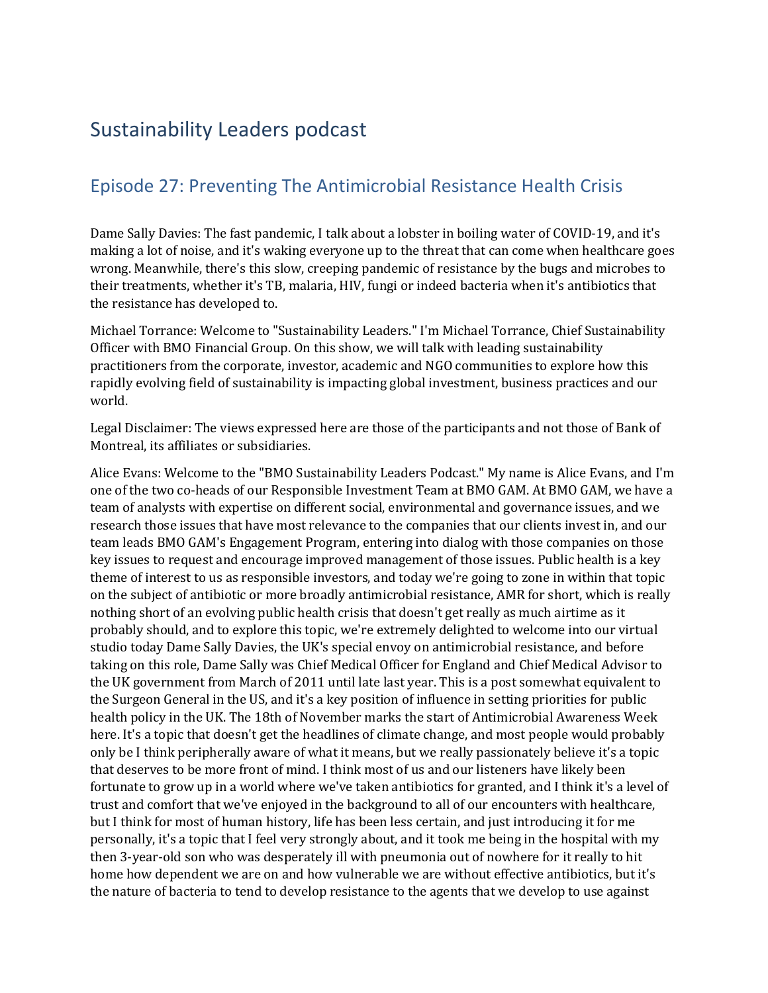# Sustainability Leaders podcast

## Episode 27: Preventing The Antimicrobial Resistance Health Crisis

Dame Sally Davies: The fast pandemic, I talk about a lobster in boiling water of COVID-19, and it's making a lot of noise, and it's waking everyone up to the threat that can come when healthcare goes wrong. Meanwhile, there's this slow, creeping pandemic of resistance by the bugs and microbes to their treatments, whether it's TB, malaria, HIV, fungi or indeed bacteria when it's antibiotics that the resistance has developed to.

Michael Torrance: Welcome to "Sustainability Leaders." I'm Michael Torrance, Chief Sustainability Officer with BMO Financial Group. On this show, we will talk with leading sustainability practitioners from the corporate, investor, academic and NGO communities to explore how this rapidly evolving field of sustainability is impacting global investment, business practices and our world.

Legal Disclaimer: The views expressed here are those of the participants and not those of Bank of Montreal, its affiliates or subsidiaries.

 research those issues that have most relevance to the companies that our clients invest in, and our on the subject of antibiotic or more broadly antimicrobial resistance, AMR for short, which is really taking on this role, Dame Sally was Chief Medical Officer for England and Chief Medical Advisor to that deserves to be more front of mind. I think most of us and our listeners have likely been but I think for most of human history, life has been less certain, and just introducing it for me then 3-year-old son who was desperately ill with pneumonia out of nowhere for it really to hit Alice Evans: Welcome to the "BMO Sustainability Leaders Podcast." My name is Alice Evans, and I'm one of the two co-heads of our Responsible Investment Team at BMO GAM. At BMO GAM, we have a team of analysts with expertise on different social, environmental and governance issues, and we team leads BMO GAM's Engagement Program, entering into dialog with those companies on those key issues to request and encourage improved management of those issues. Public health is a key theme of interest to us as responsible investors, and today we're going to zone in within that topic nothing short of an evolving public health crisis that doesn't get really as much airtime as it probably should, and to explore this topic, we're extremely delighted to welcome into our virtual studio today Dame Sally Davies, the UK's special envoy on antimicrobial resistance, and before the UK government from March of 2011 until late last year. This is a post somewhat equivalent to the Surgeon General in the US, and it's a key position of influence in setting priorities for public health policy in the UK. The 18th of November marks the start of Antimicrobial Awareness Week here. It's a topic that doesn't get the headlines of climate change, and most people would probably only be I think peripherally aware of what it means, but we really passionately believe it's a topic fortunate to grow up in a world where we've taken antibiotics for granted, and I think it's a level of trust and comfort that we've enjoyed in the background to all of our encounters with healthcare, personally, it's a topic that I feel very strongly about, and it took me being in the hospital with my home how dependent we are on and how vulnerable we are without effective antibiotics, but it's the nature of bacteria to tend to develop resistance to the agents that we develop to use against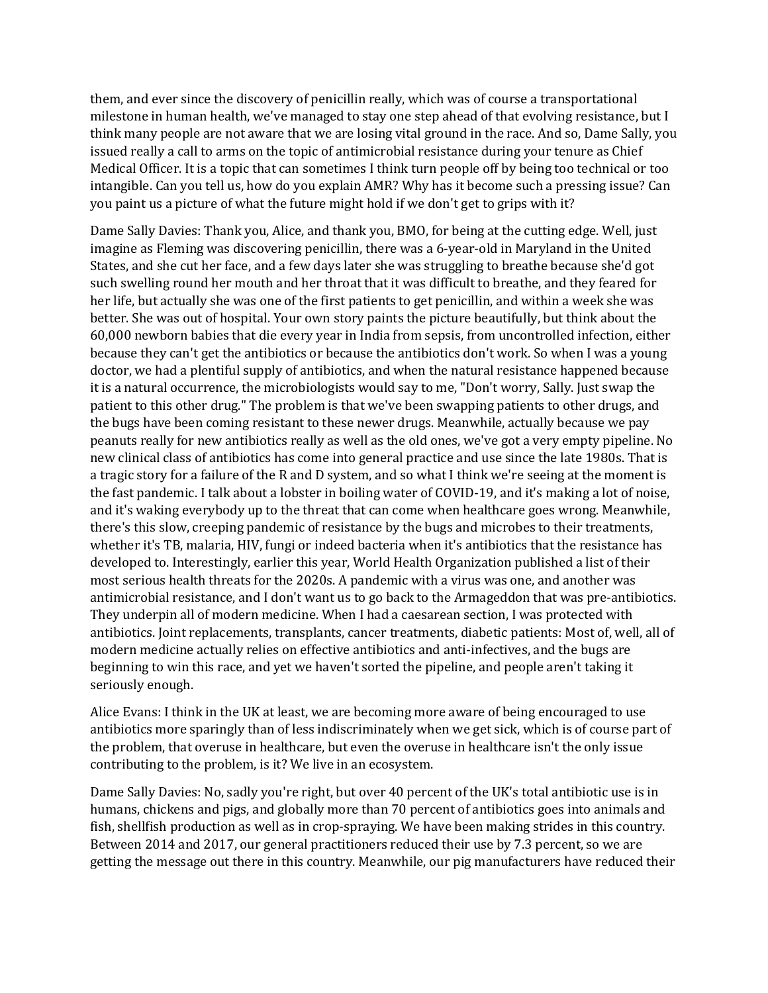intangible. Can you tell us, how do you explain AMR? Why has it become such a pressing issue? Can you paint us a picture of what the future might hold if we don't get to grips with it? them, and ever since the discovery of penicillin really, which was of course a transportational milestone in human health, we've managed to stay one step ahead of that evolving resistance, but I think many people are not aware that we are losing vital ground in the race. And so, Dame Sally, you issued really a call to arms on the topic of antimicrobial resistance during your tenure as Chief Medical Officer. It is a topic that can sometimes I think turn people off by being too technical or too

 developed to. Interestingly, earlier this year, World Health Organization published a list of their Dame Sally Davies: Thank you, Alice, and thank you, BMO, for being at the cutting edge. Well, just imagine as Fleming was discovering penicillin, there was a 6-year-old in Maryland in the United States, and she cut her face, and a few days later she was struggling to breathe because she'd got such swelling round her mouth and her throat that it was difficult to breathe, and they feared for her life, but actually she was one of the first patients to get penicillin, and within a week she was better. She was out of hospital. Your own story paints the picture beautifully, but think about the 60,000 newborn babies that die every year in India from sepsis, from uncontrolled infection, either because they can't get the antibiotics or because the antibiotics don't work. So when I was a young doctor, we had a plentiful supply of antibiotics, and when the natural resistance happened because it is a natural occurrence, the microbiologists would say to me, "Don't worry, Sally. Just swap the patient to this other drug." The problem is that we've been swapping patients to other drugs, and the bugs have been coming resistant to these newer drugs. Meanwhile, actually because we pay peanuts really for new antibiotics really as well as the old ones, we've got a very empty pipeline. No new clinical class of antibiotics has come into general practice and use since the late 1980s. That is a tragic story for a failure of the R and D system, and so what I think we're seeing at the moment is the fast pandemic. I talk about a lobster in boiling water of COVID-19, and it's making a lot of noise, and it's waking everybody up to the threat that can come when healthcare goes wrong. Meanwhile, there's this slow, creeping pandemic of resistance by the bugs and microbes to their treatments, whether it's TB, malaria, HIV, fungi or indeed bacteria when it's antibiotics that the resistance has most serious health threats for the 2020s. A pandemic with a virus was one, and another was antimicrobial resistance, and I don't want us to go back to the Armageddon that was pre-antibiotics. They underpin all of modern medicine. When I had a caesarean section, I was protected with antibiotics. Joint replacements, transplants, cancer treatments, diabetic patients: Most of, well, all of modern medicine actually relies on effective antibiotics and anti-infectives, and the bugs are beginning to win this race, and yet we haven't sorted the pipeline, and people aren't taking it seriously enough.

Alice Evans: I think in the UK at least, we are becoming more aware of being encouraged to use antibiotics more sparingly than of less indiscriminately when we get sick, which is of course part of the problem, that overuse in healthcare, but even the overuse in healthcare isn't the only issue contributing to the problem, is it? We live in an ecosystem.

Dame Sally Davies: No, sadly you're right, but over 40 percent of the UK's total antibiotic use is in humans, chickens and pigs, and globally more than 70 percent of antibiotics goes into animals and fish, shellfish production as well as in crop-spraying. We have been making strides in this country. Between 2014 and 2017, our general practitioners reduced their use by 7.3 percent, so we are getting the message out there in this country. Meanwhile, our pig manufacturers have reduced their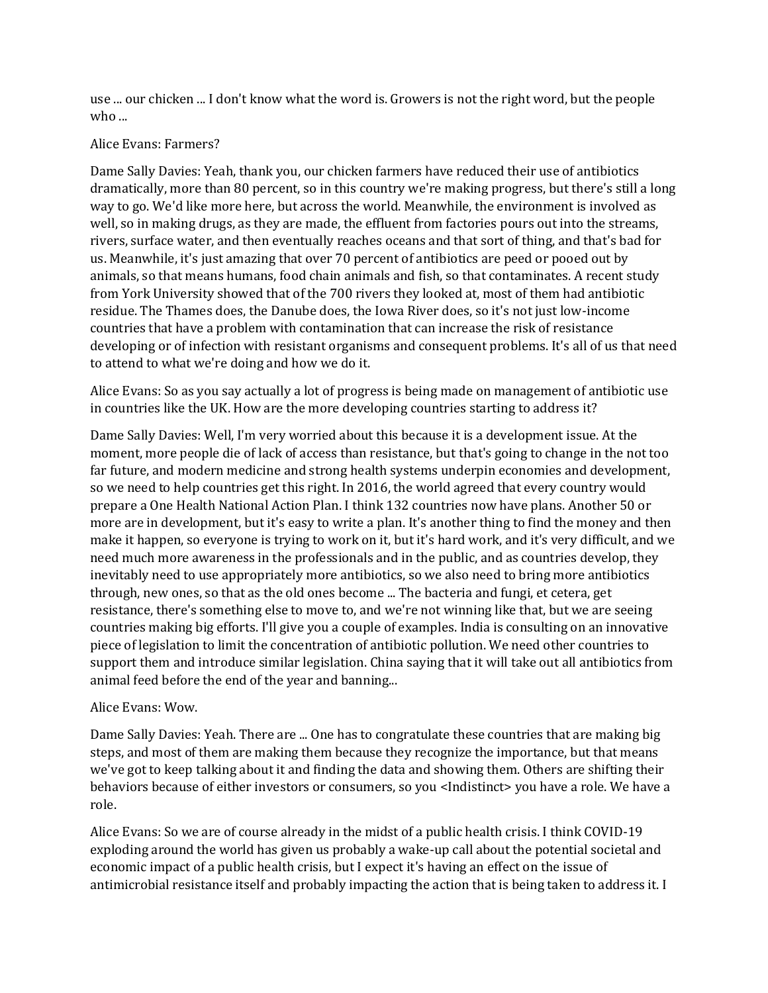use ... our chicken ... I don't know what the word is. Growers is not the right word, but the people who ...

#### Alice Evans: Farmers?

 us. Meanwhile, it's just amazing that over 70 percent of antibiotics are peed or pooed out by from York University showed that of the 700 rivers they looked at, most of them had antibiotic Dame Sally Davies: Yeah, thank you, our chicken farmers have reduced their use of antibiotics dramatically, more than 80 percent, so in this country we're making progress, but there's still a long way to go. We'd like more here, but across the world. Meanwhile, the environment is involved as well, so in making drugs, as they are made, the effluent from factories pours out into the streams, rivers, surface water, and then eventually reaches oceans and that sort of thing, and that's bad for animals, so that means humans, food chain animals and fish, so that contaminates. A recent study residue. The Thames does, the Danube does, the Iowa River does, so it's not just low-income countries that have a problem with contamination that can increase the risk of resistance developing or of infection with resistant organisms and consequent problems. It's all of us that need to attend to what we're doing and how we do it.

 Alice Evans: So as you say actually a lot of progress is being made on management of antibiotic use in countries like the UK. How are the more developing countries starting to address it?

 piece of legislation to limit the concentration of antibiotic pollution. We need other countries to Dame Sally Davies: Well, I'm very worried about this because it is a development issue. At the moment, more people die of lack of access than resistance, but that's going to change in the not too far future, and modern medicine and strong health systems underpin economies and development, so we need to help countries get this right. In 2016, the world agreed that every country would prepare a One Health National Action Plan. I think 132 countries now have plans. Another 50 or more are in development, but it's easy to write a plan. It's another thing to find the money and then make it happen, so everyone is trying to work on it, but it's hard work, and it's very difficult, and we need much more awareness in the professionals and in the public, and as countries develop, they inevitably need to use appropriately more antibiotics, so we also need to bring more antibiotics through, new ones, so that as the old ones become ... The bacteria and fungi, et cetera, get resistance, there's something else to move to, and we're not winning like that, but we are seeing countries making big efforts. I'll give you a couple of examples. India is consulting on an innovative support them and introduce similar legislation. China saying that it will take out all antibiotics from animal feed before the end of the year and banning...

### Alice Evans: Wow.

 steps, and most of them are making them because they recognize the importance, but that means Dame Sally Davies: Yeah. There are ... One has to congratulate these countries that are making big we've got to keep talking about it and finding the data and showing them. Others are shifting their behaviors because of either investors or consumers, so you <Indistinct> you have a role. We have a role.

Alice Evans: So we are of course already in the midst of a public health crisis. I think COVID-19 exploding around the world has given us probably a wake-up call about the potential societal and economic impact of a public health crisis, but I expect it's having an effect on the issue of antimicrobial resistance itself and probably impacting the action that is being taken to address it. I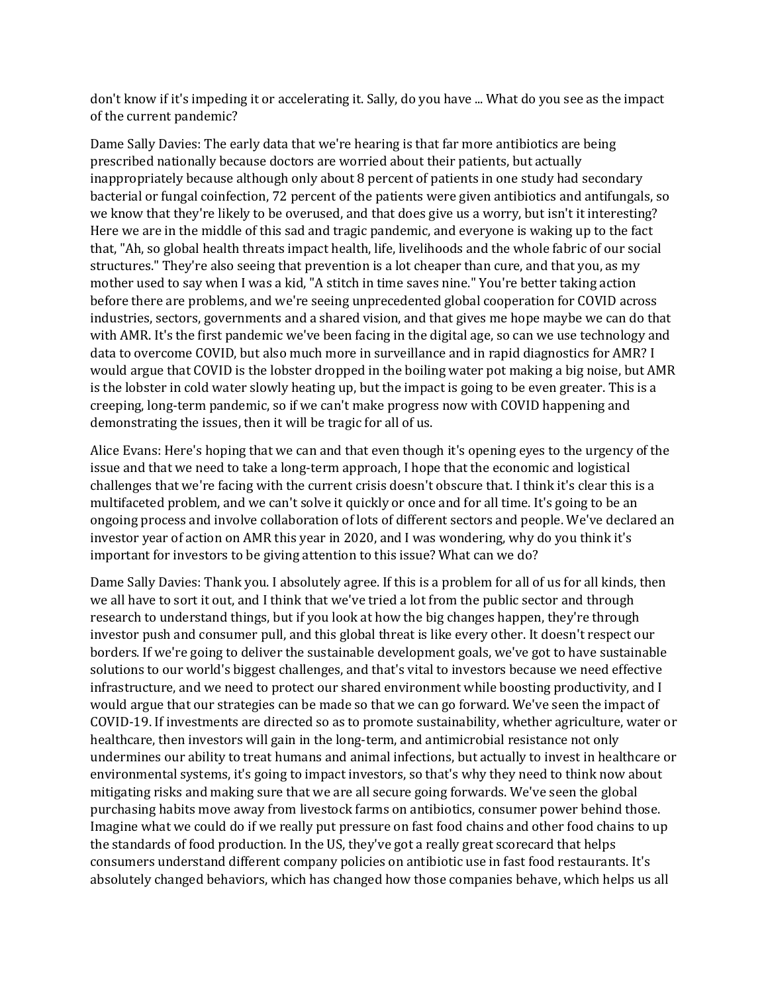don't know if it's impeding it or accelerating it. Sally, do you have ... What do you see as the impact of the current pandemic?

 that, "Ah, so global health threats impact health, life, livelihoods and the whole fabric of our social mother used to say when I was a kid, "A stitch in time saves nine." You're better taking action data to overcome COVID, but also much more in surveillance and in rapid diagnostics for AMR? I Dame Sally Davies: The early data that we're hearing is that far more antibiotics are being prescribed nationally because doctors are worried about their patients, but actually inappropriately because although only about 8 percent of patients in one study had secondary bacterial or fungal coinfection, 72 percent of the patients were given antibiotics and antifungals, so we know that they're likely to be overused, and that does give us a worry, but isn't it interesting? Here we are in the middle of this sad and tragic pandemic, and everyone is waking up to the fact structures." They're also seeing that prevention is a lot cheaper than cure, and that you, as my before there are problems, and we're seeing unprecedented global cooperation for COVID across industries, sectors, governments and a shared vision, and that gives me hope maybe we can do that with AMR. It's the first pandemic we've been facing in the digital age, so can we use technology and would argue that COVID is the lobster dropped in the boiling water pot making a big noise, but AMR is the lobster in cold water slowly heating up, but the impact is going to be even greater. This is a creeping, long-term pandemic, so if we can't make progress now with COVID happening and demonstrating the issues, then it will be tragic for all of us.

 investor year of action on AMR this year in 2020, and I was wondering, why do you think it's important for investors to be giving attention to this issue? What can we do? Alice Evans: Here's hoping that we can and that even though it's opening eyes to the urgency of the issue and that we need to take a long-term approach, I hope that the economic and logistical challenges that we're facing with the current crisis doesn't obscure that. I think it's clear this is a multifaceted problem, and we can't solve it quickly or once and for all time. It's going to be an ongoing process and involve collaboration of lots of different sectors and people. We've declared an

 purchasing habits move away from livestock farms on antibiotics, consumer power behind those. Imagine what we could do if we really put pressure on fast food chains and other food chains to up Dame Sally Davies: Thank you. I absolutely agree. If this is a problem for all of us for all kinds, then we all have to sort it out, and I think that we've tried a lot from the public sector and through research to understand things, but if you look at how the big changes happen, they're through investor push and consumer pull, and this global threat is like every other. It doesn't respect our borders. If we're going to deliver the sustainable development goals, we've got to have sustainable solutions to our world's biggest challenges, and that's vital to investors because we need effective infrastructure, and we need to protect our shared environment while boosting productivity, and I would argue that our strategies can be made so that we can go forward. We've seen the impact of COVID-19. If investments are directed so as to promote sustainability, whether agriculture, water or healthcare, then investors will gain in the long-term, and antimicrobial resistance not only undermines our ability to treat humans and animal infections, but actually to invest in healthcare or environmental systems, it's going to impact investors, so that's why they need to think now about mitigating risks and making sure that we are all secure going forwards. We've seen the global the standards of food production. In the US, they've got a really great scorecard that helps consumers understand different company policies on antibiotic use in fast food restaurants. It's absolutely changed behaviors, which has changed how those companies behave, which helps us all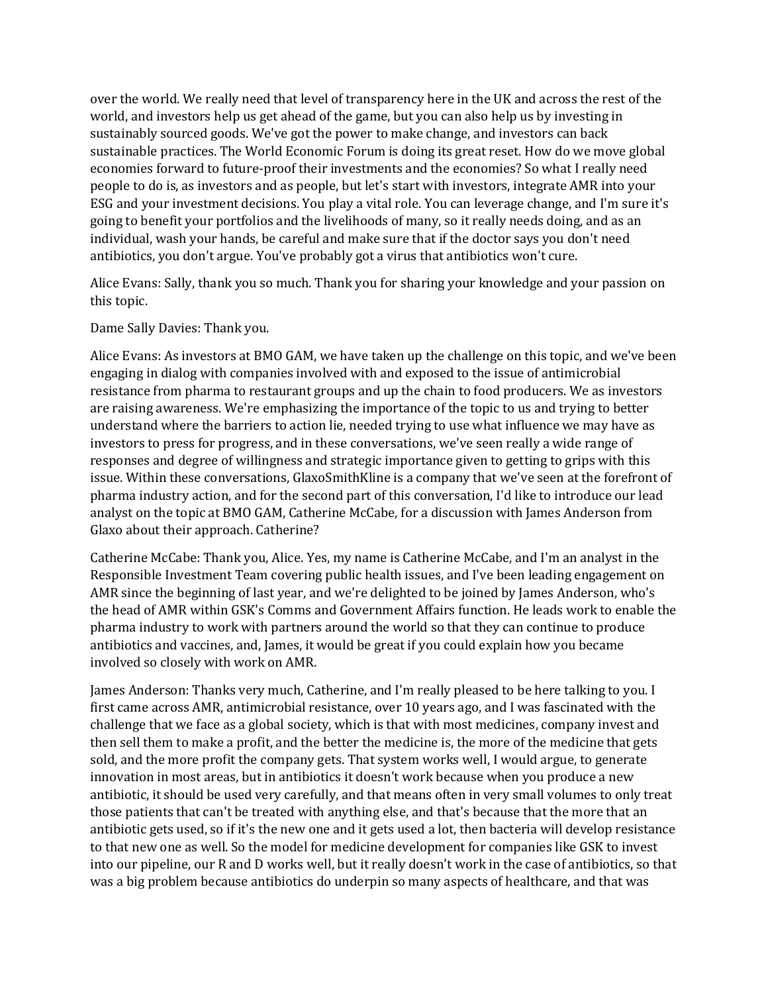sustainably sourced goods. We've got the power to make change, and investors can back people to do is, as investors and as people, but let's start with investors, integrate AMR into your ESG and your investment decisions. You play a vital role. You can leverage change, and I'm sure it's going to benefit your portfolios and the livelihoods of many, so it really needs doing, and as an over the world. We really need that level of transparency here in the UK and across the rest of the world, and investors help us get ahead of the game, but you can also help us by investing in sustainable practices. The World Economic Forum is doing its great reset. How do we move global economies forward to future-proof their investments and the economies? So what I really need individual, wash your hands, be careful and make sure that if the doctor says you don't need antibiotics, you don't argue. You've probably got a virus that antibiotics won't cure.

Alice Evans: Sally, thank you so much. Thank you for sharing your knowledge and your passion on this topic.

#### Dame Sally Davies: Thank you.

Alice Evans: As investors at BMO GAM, we have taken up the challenge on this topic, and we've been engaging in dialog with companies involved with and exposed to the issue of antimicrobial resistance from pharma to restaurant groups and up the chain to food producers. We as investors are raising awareness. We're emphasizing the importance of the topic to us and trying to better understand where the barriers to action lie, needed trying to use what influence we may have as investors to press for progress, and in these conversations, we've seen really a wide range of responses and degree of willingness and strategic importance given to getting to grips with this issue. Within these conversations, GlaxoSmithKline is a company that we've seen at the forefront of pharma industry action, and for the second part of this conversation, I'd like to introduce our lead analyst on the topic at BMO GAM, Catherine McCabe, for a discussion with James Anderson from Glaxo about their approach. Catherine?

 Catherine McCabe: Thank you, Alice. Yes, my name is Catherine McCabe, and I'm an analyst in the Responsible Investment Team covering public health issues, and I've been leading engagement on AMR since the beginning of last year, and we're delighted to be joined by James Anderson, who's the head of AMR within GSK's Comms and Government Affairs function. He leads work to enable the pharma industry to work with partners around the world so that they can continue to produce antibiotics and vaccines, and, James, it would be great if you could explain how you became involved so closely with work on AMR.

 challenge that we face as a global society, which is that with most medicines, company invest and to that new one as well. So the model for medicine development for companies like GSK to invest was a big problem because antibiotics do underpin so many aspects of healthcare, and that was James Anderson: Thanks very much, Catherine, and I'm really pleased to be here talking to you. I first came across AMR, antimicrobial resistance, over 10 years ago, and I was fascinated with the then sell them to make a profit, and the better the medicine is, the more of the medicine that gets sold, and the more profit the company gets. That system works well, I would argue, to generate innovation in most areas, but in antibiotics it doesn't work because when you produce a new antibiotic, it should be used very carefully, and that means often in very small volumes to only treat those patients that can't be treated with anything else, and that's because that the more that an antibiotic gets used, so if it's the new one and it gets used a lot, then bacteria will develop resistance into our pipeline, our R and D works well, but it really doesn't work in the case of antibiotics, so that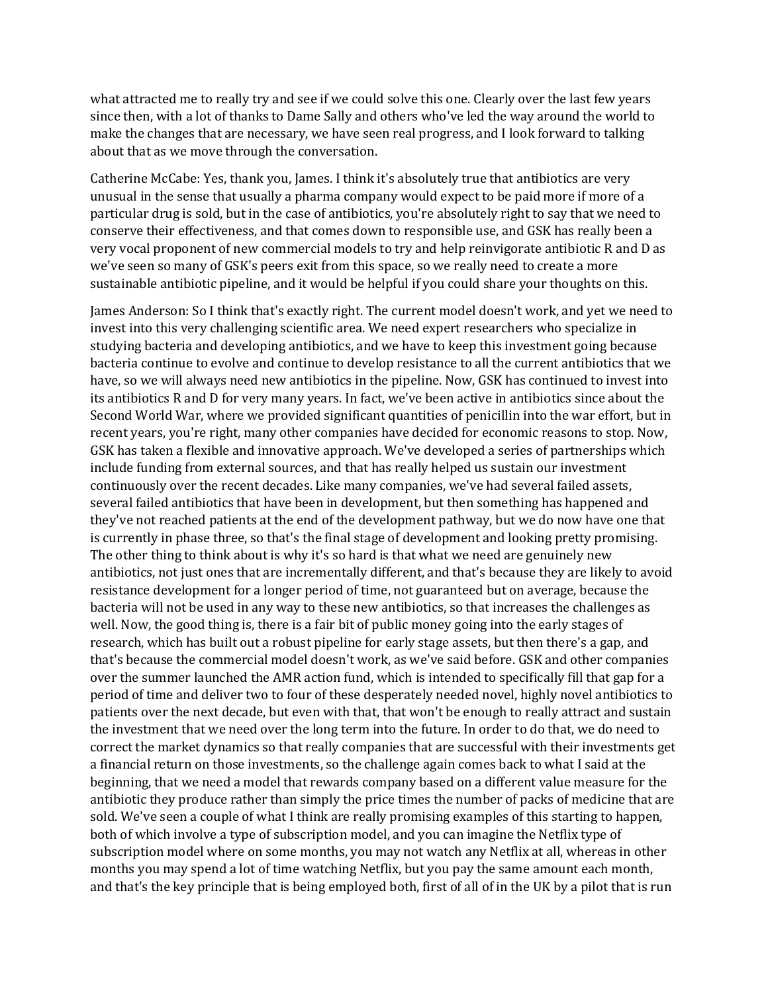what attracted me to really try and see if we could solve this one. Clearly over the last few years since then, with a lot of thanks to Dame Sally and others who've led the way around the world to make the changes that are necessary, we have seen real progress, and I look forward to talking about that as we move through the conversation.

Catherine McCabe: Yes, thank you, James. I think it's absolutely true that antibiotics are very unusual in the sense that usually a pharma company would expect to be paid more if more of a particular drug is sold, but in the case of antibiotics, you're absolutely right to say that we need to conserve their effectiveness, and that comes down to responsible use, and GSK has really been a very vocal proponent of new commercial models to try and help reinvigorate antibiotic R and D as we've seen so many of GSK's peers exit from this space, so we really need to create a more sustainable antibiotic pipeline, and it would be helpful if you could share your thoughts on this.

 The other thing to think about is why it's so hard is that what we need are genuinely new that's because the commercial model doesn't work, as we've said before. GSK and other companies subscription model where on some months, you may not watch any Netflix at all, whereas in other James Anderson: So I think that's exactly right. The current model doesn't work, and yet we need to invest into this very challenging scientific area. We need expert researchers who specialize in studying bacteria and developing antibiotics, and we have to keep this investment going because bacteria continue to evolve and continue to develop resistance to all the current antibiotics that we have, so we will always need new antibiotics in the pipeline. Now, GSK has continued to invest into its antibiotics R and D for very many years. In fact, we've been active in antibiotics since about the Second World War, where we provided significant quantities of penicillin into the war effort, but in recent years, you're right, many other companies have decided for economic reasons to stop. Now, GSK has taken a flexible and innovative approach. We've developed a series of partnerships which include funding from external sources, and that has really helped us sustain our investment continuously over the recent decades. Like many companies, we've had several failed assets, several failed antibiotics that have been in development, but then something has happened and they've not reached patients at the end of the development pathway, but we do now have one that is currently in phase three, so that's the final stage of development and looking pretty promising. antibiotics, not just ones that are incrementally different, and that's because they are likely to avoid resistance development for a longer period of time, not guaranteed but on average, because the bacteria will not be used in any way to these new antibiotics, so that increases the challenges as well. Now, the good thing is, there is a fair bit of public money going into the early stages of research, which has built out a robust pipeline for early stage assets, but then there's a gap, and over the summer launched the AMR action fund, which is intended to specifically fill that gap for a period of time and deliver two to four of these desperately needed novel, highly novel antibiotics to patients over the next decade, but even with that, that won't be enough to really attract and sustain the investment that we need over the long term into the future. In order to do that, we do need to correct the market dynamics so that really companies that are successful with their investments get a financial return on those investments, so the challenge again comes back to what I said at the beginning, that we need a model that rewards company based on a different value measure for the antibiotic they produce rather than simply the price times the number of packs of medicine that are sold. We've seen a couple of what I think are really promising examples of this starting to happen, both of which involve a type of subscription model, and you can imagine the Netflix type of months you may spend a lot of time watching Netflix, but you pay the same amount each month, and that's the key principle that is being employed both, first of all of in the UK by a pilot that is run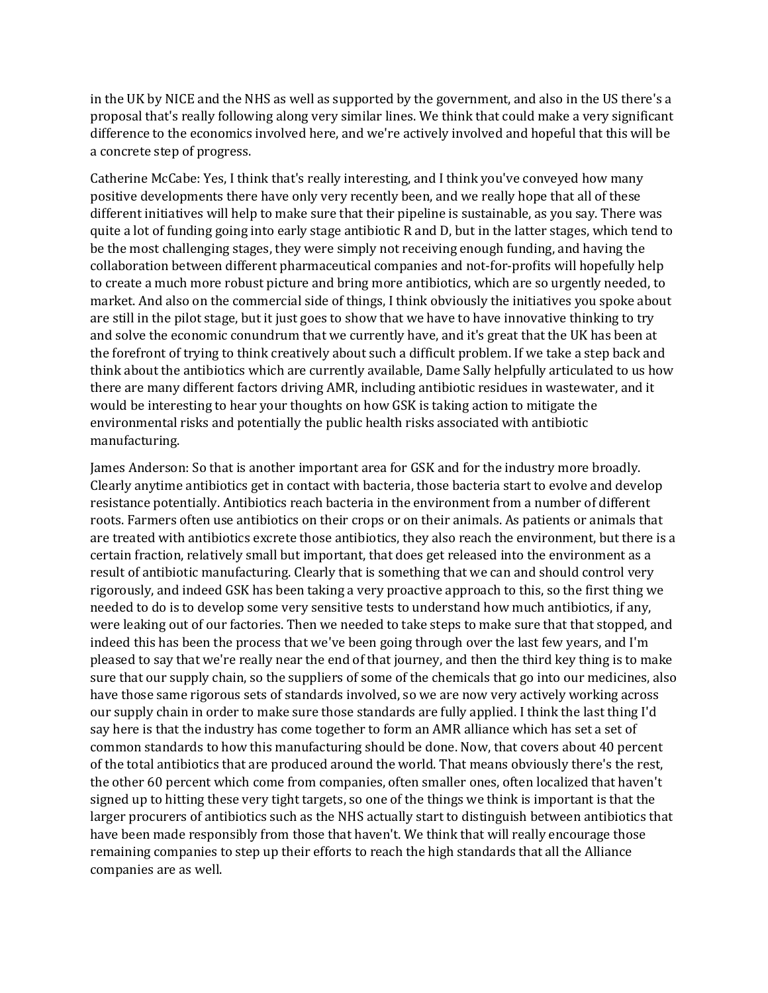in the UK by NICE and the NHS as well as supported by the government, and also in the US there's a proposal that's really following along very similar lines. We think that could make a very significant difference to the economics involved here, and we're actively involved and hopeful that this will be a concrete step of progress.

Catherine McCabe: Yes, I think that's really interesting, and I think you've conveyed how many positive developments there have only very recently been, and we really hope that all of these different initiatives will help to make sure that their pipeline is sustainable, as you say. There was quite a lot of funding going into early stage antibiotic R and D, but in the latter stages, which tend to be the most challenging stages, they were simply not receiving enough funding, and having the collaboration between different pharmaceutical companies and not-for-profits will hopefully help to create a much more robust picture and bring more antibiotics, which are so urgently needed, to market. And also on the commercial side of things, I think obviously the initiatives you spoke about are still in the pilot stage, but it just goes to show that we have to have innovative thinking to try and solve the economic conundrum that we currently have, and it's great that the UK has been at the forefront of trying to think creatively about such a difficult problem. If we take a step back and think about the antibiotics which are currently available, Dame Sally helpfully articulated to us how there are many different factors driving AMR, including antibiotic residues in wastewater, and it would be interesting to hear your thoughts on how GSK is taking action to mitigate the environmental risks and potentially the public health risks associated with antibiotic manufacturing.

 needed to do is to develop some very sensitive tests to understand how much antibiotics, if any, sure that our supply chain, so the suppliers of some of the chemicals that go into our medicines, also our supply chain in order to make sure those standards are fully applied. I think the last thing I'd common standards to how this manufacturing should be done. Now, that covers about 40 percent signed up to hitting these very tight targets, so one of the things we think is important is that the remaining companies to step up their efforts to reach the high standards that all the Alliance James Anderson: So that is another important area for GSK and for the industry more broadly. Clearly anytime antibiotics get in contact with bacteria, those bacteria start to evolve and develop resistance potentially. Antibiotics reach bacteria in the environment from a number of different roots. Farmers often use antibiotics on their crops or on their animals. As patients or animals that are treated with antibiotics excrete those antibiotics, they also reach the environment, but there is a certain fraction, relatively small but important, that does get released into the environment as a result of antibiotic manufacturing. Clearly that is something that we can and should control very rigorously, and indeed GSK has been taking a very proactive approach to this, so the first thing we were leaking out of our factories. Then we needed to take steps to make sure that that stopped, and indeed this has been the process that we've been going through over the last few years, and I'm pleased to say that we're really near the end of that journey, and then the third key thing is to make have those same rigorous sets of standards involved, so we are now very actively working across say here is that the industry has come together to form an AMR alliance which has set a set of of the total antibiotics that are produced around the world. That means obviously there's the rest, the other 60 percent which come from companies, often smaller ones, often localized that haven't larger procurers of antibiotics such as the NHS actually start to distinguish between antibiotics that have been made responsibly from those that haven't. We think that will really encourage those companies are as well.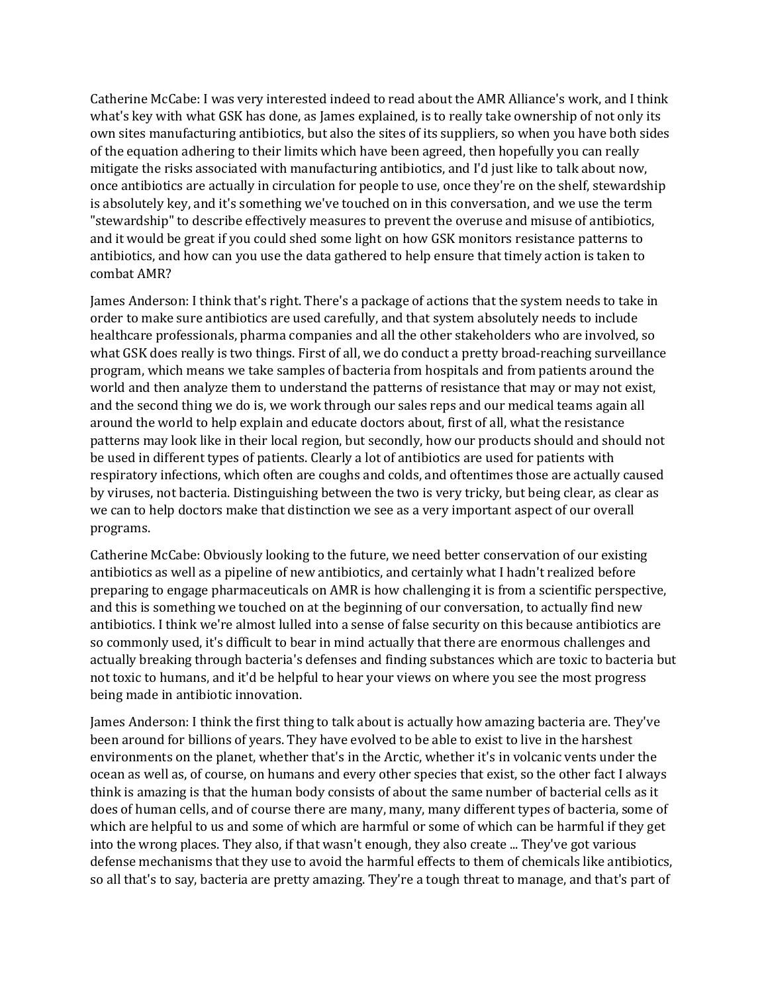Catherine McCabe: I was very interested indeed to read about the AMR Alliance's work, and I think what's key with what GSK has done, as James explained, is to really take ownership of not only its own sites manufacturing antibiotics, but also the sites of its suppliers, so when you have both sides of the equation adhering to their limits which have been agreed, then hopefully you can really mitigate the risks associated with manufacturing antibiotics, and I'd just like to talk about now, once antibiotics are actually in circulation for people to use, once they're on the shelf, stewardship is absolutely key, and it's something we've touched on in this conversation, and we use the term "stewardship" to describe effectively measures to prevent the overuse and misuse of antibiotics, and it would be great if you could shed some light on how GSK monitors resistance patterns to antibiotics, and how can you use the data gathered to help ensure that timely action is taken to combat AMR?

 order to make sure antibiotics are used carefully, and that system absolutely needs to include and the second thing we do is, we work through our sales reps and our medical teams again all respiratory infections, which often are coughs and colds, and oftentimes those are actually caused James Anderson: I think that's right. There's a package of actions that the system needs to take in healthcare professionals, pharma companies and all the other stakeholders who are involved, so what GSK does really is two things. First of all, we do conduct a pretty broad-reaching surveillance program, which means we take samples of bacteria from hospitals and from patients around the world and then analyze them to understand the patterns of resistance that may or may not exist, around the world to help explain and educate doctors about, first of all, what the resistance patterns may look like in their local region, but secondly, how our products should and should not be used in different types of patients. Clearly a lot of antibiotics are used for patients with by viruses, not bacteria. Distinguishing between the two is very tricky, but being clear, as clear as we can to help doctors make that distinction we see as a very important aspect of our overall programs.

Catherine McCabe: Obviously looking to the future, we need better conservation of our existing antibiotics as well as a pipeline of new antibiotics, and certainly what I hadn't realized before preparing to engage pharmaceuticals on AMR is how challenging it is from a scientific perspective, and this is something we touched on at the beginning of our conversation, to actually find new antibiotics. I think we're almost lulled into a sense of false security on this because antibiotics are so commonly used, it's difficult to bear in mind actually that there are enormous challenges and actually breaking through bacteria's defenses and finding substances which are toxic to bacteria but not toxic to humans, and it'd be helpful to hear your views on where you see the most progress being made in antibiotic innovation.

 ocean as well as, of course, on humans and every other species that exist, so the other fact I always think is amazing is that the human body consists of about the same number of bacterial cells as it does of human cells, and of course there are many, many, many different types of bacteria, some of James Anderson: I think the first thing to talk about is actually how amazing bacteria are. They've been around for billions of years. They have evolved to be able to exist to live in the harshest environments on the planet, whether that's in the Arctic, whether it's in volcanic vents under the which are helpful to us and some of which are harmful or some of which can be harmful if they get into the wrong places. They also, if that wasn't enough, they also create ... They've got various defense mechanisms that they use to avoid the harmful effects to them of chemicals like antibiotics, so all that's to say, bacteria are pretty amazing. They're a tough threat to manage, and that's part of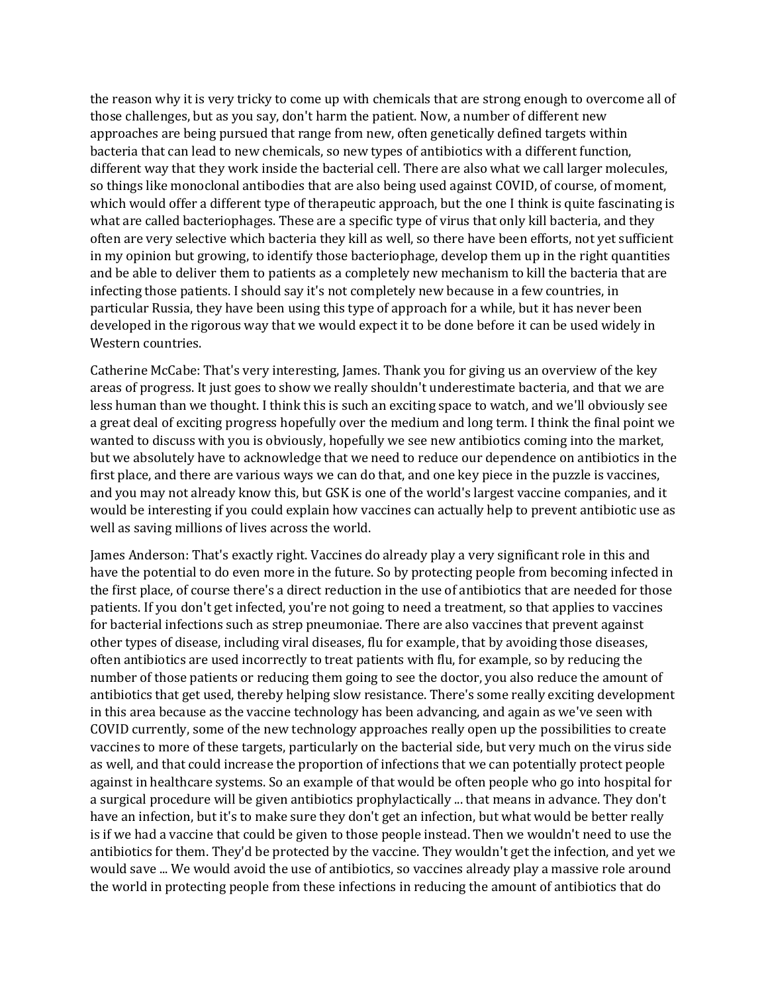approaches are being pursued that range from new, often genetically defined targets within so things like monoclonal antibodies that are also being used against COVID, of course, of moment, the reason why it is very tricky to come up with chemicals that are strong enough to overcome all of those challenges, but as you say, don't harm the patient. Now, a number of different new bacteria that can lead to new chemicals, so new types of antibiotics with a different function, different way that they work inside the bacterial cell. There are also what we call larger molecules, which would offer a different type of therapeutic approach, but the one I think is quite fascinating is what are called bacteriophages. These are a specific type of virus that only kill bacteria, and they often are very selective which bacteria they kill as well, so there have been efforts, not yet sufficient in my opinion but growing, to identify those bacteriophage, develop them up in the right quantities and be able to deliver them to patients as a completely new mechanism to kill the bacteria that are infecting those patients. I should say it's not completely new because in a few countries, in particular Russia, they have been using this type of approach for a while, but it has never been developed in the rigorous way that we would expect it to be done before it can be used widely in Western countries.

 Catherine McCabe: That's very interesting, James. Thank you for giving us an overview of the key areas of progress. It just goes to show we really shouldn't underestimate bacteria, and that we are less human than we thought. I think this is such an exciting space to watch, and we'll obviously see a great deal of exciting progress hopefully over the medium and long term. I think the final point we wanted to discuss with you is obviously, hopefully we see new antibiotics coming into the market, but we absolutely have to acknowledge that we need to reduce our dependence on antibiotics in the first place, and there are various ways we can do that, and one key piece in the puzzle is vaccines, and you may not already know this, but GSK is one of the world's largest vaccine companies, and it would be interesting if you could explain how vaccines can actually help to prevent antibiotic use as well as saving millions of lives across the world.

 often antibiotics are used incorrectly to treat patients with flu, for example, so by reducing the James Anderson: That's exactly right. Vaccines do already play a very significant role in this and have the potential to do even more in the future. So by protecting people from becoming infected in the first place, of course there's a direct reduction in the use of antibiotics that are needed for those patients. If you don't get infected, you're not going to need a treatment, so that applies to vaccines for bacterial infections such as strep pneumoniae. There are also vaccines that prevent against other types of disease, including viral diseases, flu for example, that by avoiding those diseases, number of those patients or reducing them going to see the doctor, you also reduce the amount of antibiotics that get used, thereby helping slow resistance. There's some really exciting development in this area because as the vaccine technology has been advancing, and again as we've seen with COVID currently, some of the new technology approaches really open up the possibilities to create vaccines to more of these targets, particularly on the bacterial side, but very much on the virus side as well, and that could increase the proportion of infections that we can potentially protect people against in healthcare systems. So an example of that would be often people who go into hospital for a surgical procedure will be given antibiotics prophylactically ... that means in advance. They don't have an infection, but it's to make sure they don't get an infection, but what would be better really is if we had a vaccine that could be given to those people instead. Then we wouldn't need to use the antibiotics for them. They'd be protected by the vaccine. They wouldn't get the infection, and yet we would save ... We would avoid the use of antibiotics, so vaccines already play a massive role around the world in protecting people from these infections in reducing the amount of antibiotics that do